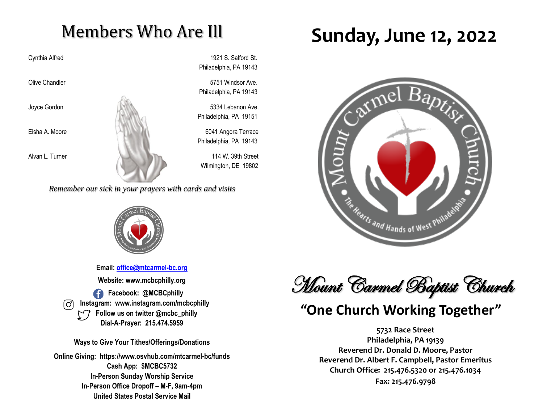## Members Who Are Ill

Cynthia Alfred 1921 S. Salford St. Philadelphia, PA 19143

Olive Chandler **5751** Windsor Ave. Philadelphia, PA 19143

Philadelphia, PA 19151

Philadelphia, PA 19143

Wilmington, DE 19802

*Remember our sick in your prayers with cards and visits*



**Email: [office@mtcarmel-bc.org](mailto:office@mtcarmel-bc.org) Website: www.mcbcphilly.org Facebook: @MCBCphilly Instagram: www.instagram.com/mcbcphilly Follow us on twitter @mcbc\_philly Dial-A-Prayer: 215.474.5959**

#### **Ways to Give Your Tithes/Offerings/Donations**

**Online Giving: https://www.osvhub.com/mtcarmel-bc/funds Cash App: \$MCBC5732 In-Person Sunday Worship Service In-Person Office Dropoff – M-F, 9am-4pm United States Postal Service Mail**

# **Sunday, June 12, 2022**



Mount Carmel Baptist Church

## **"One Church Working Together"**

**5732 Race Street Philadelphia, PA 19139 Reverend Dr. Donald D. Moore, Pastor Reverend Dr. Albert F. Campbell, Pastor Emeritus Church Office: 215.476.5320 or 215.476.1034 Fax: 215.476.9798**